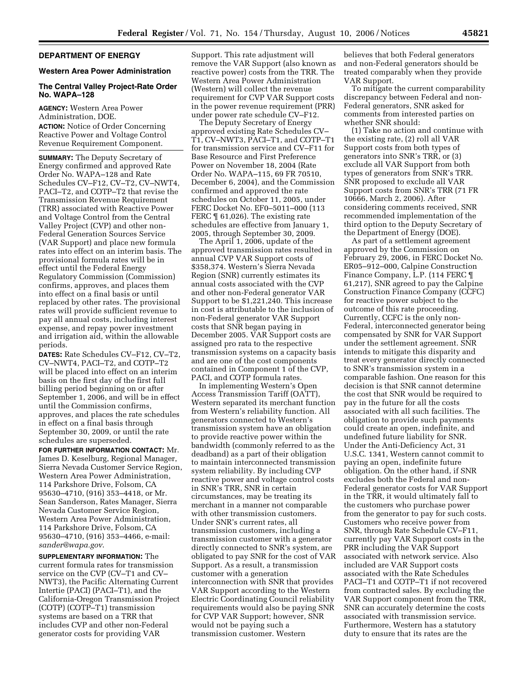## **DEPARTMENT OF ENERGY**

### **Western Area Power Administration**

### **The Central Valley Project-Rate Order No. WAPA–128**

**AGENCY:** Western Area Power Administration, DOE. **ACTION:** Notice of Order Concerning Reactive Power and Voltage Control Revenue Requirement Component.

**SUMMARY:** The Deputy Secretary of Energy confirmed and approved Rate Order No. WAPA–128 and Rate Schedules CV–F12, CV–T2, CV–NWT4, PACI–T2, and COTP–T2 that revise the Transmission Revenue Requirement (TRR) associated with Reactive Power and Voltage Control from the Central Valley Project (CVP) and other non-Federal Generation Sources Service (VAR Support) and place new formula rates into effect on an interim basis. The provisional formula rates will be in effect until the Federal Energy Regulatory Commission (Commission) confirms, approves, and places them into effect on a final basis or until replaced by other rates. The provisional rates will provide sufficient revenue to pay all annual costs, including interest expense, and repay power investment and irrigation aid, within the allowable periods.

**DATES:** Rate Schedules CV–F12, CV–T2, CV–NWT4, PACI–T2, and COTP–T2 will be placed into effect on an interim basis on the first day of the first full billing period beginning on or after September 1, 2006, and will be in effect until the Commission confirms, approves, and places the rate schedules in effect on a final basis through September 30, 2009, or until the rate schedules are superseded.

**FOR FURTHER INFORMATION CONTACT:** Mr. James D. Keselburg, Regional Manager, Sierra Nevada Customer Service Region, Western Area Power Administration, 114 Parkshore Drive, Folsom, CA 95630–4710, (916) 353–4418, or Mr. Sean Sanderson, Rates Manager, Sierra Nevada Customer Service Region, Western Area Power Administration, 114 Parkshore Drive, Folsom, CA 95630–4710, (916) 353–4466, e-mail: *sander@wapa.gov*.

**SUPPLEMENTARY INFORMATION:** The current formula rates for transmission service on the CVP (CV–T1 and CV– NWT3), the Pacific Alternating Current Intertie (PACI) (PACI–T1), and the California-Oregon Transmission Project (COTP) (COTP–T1) transmission systems are based on a TRR that includes CVP and other non-Federal generator costs for providing VAR

Support. This rate adjustment will remove the VAR Support (also known as reactive power) costs from the TRR. The Western Area Power Administration (Western) will collect the revenue requirement for CVP VAR Support costs in the power revenue requirement (PRR) under power rate schedule CV–F12.

The Deputy Secretary of Energy approved existing Rate Schedules CV– T1, CV–NWT3, PACI–T1, and COTP–T1 for transmission service and CV–F11 for Base Resource and First Preference Power on November 18, 2004 (Rate Order No. WAPA–115, 69 FR 70510, December 6, 2004), and the Commission confirmed and approved the rate schedules on October 11, 2005, under FERC Docket No. EF0–5011–000 (113 FERC ¶ 61,026). The existing rate schedules are effective from January 1, 2005, through September 30, 2009.

The April 1, 2006, update of the approved transmission rates resulted in annual CVP VAR Support costs of \$358,374. Western's Sierra Nevada Region (SNR) currently estimates its annual costs associated with the CVP and other non-Federal generator VAR Support to be \$1,221,240. This increase in cost is attributable to the inclusion of non-Federal generator VAR Support costs that SNR began paying in December 2005. VAR Support costs are assigned pro rata to the respective transmission systems on a capacity basis and are one of the cost components contained in Component 1 of the CVP, PACI, and COTP formula rates.

In implementing Western's Open Access Transmission Tariff (OATT), Western separated its merchant function from Western's reliability function. All generators connected to Western's transmission system have an obligation to provide reactive power within the bandwidth (commonly referred to as the deadband) as a part of their obligation to maintain interconnected transmission system reliability. By including CVP reactive power and voltage control costs in SNR's TRR, SNR in certain circumstances, may be treating its merchant in a manner not comparable with other transmission customers. Under SNR's current rates, all transmission customers, including a transmission customer with a generator directly connected to SNR's system, are obligated to pay SNR for the cost of VAR Support. As a result, a transmission customer with a generation interconnection with SNR that provides VAR Support according to the Western Electric Coordinating Council reliability requirements would also be paying SNR for CVP VAR Support; however, SNR would not be paying such a transmission customer. Western

believes that both Federal generators and non-Federal generators should be treated comparably when they provide VAR Support.

To mitigate the current comparability discrepancy between Federal and non-Federal generators, SNR asked for comments from interested parties on whether SNR should:

(1) Take no action and continue with the existing rate, (2) roll all VAR Support costs from both types of generators into SNR's TRR, or (3) exclude all VAR Support from both types of generators from SNR's TRR. SNR proposed to exclude all VAR Support costs from SNR's TRR (71 FR 10666, March 2, 2006). After considering comments received, SNR recommended implementation of the third option to the Deputy Secretary of the Department of Energy (DOE).

As part of a settlement agreement approved by the Commission on February 29, 2006, in FERC Docket No. ER05–912–000, Calpine Construction Finance Company, L.P. (114 FERC ¶ 61,217), SNR agreed to pay the Calpine Construction Finance Company (CCFC) for reactive power subject to the outcome of this rate proceeding. Currently, CCFC is the only non-Federal, interconnected generator being compensated by SNR for VAR Support under the settlement agreement. SNR intends to mitigate this disparity and treat every generator directly connected to SNR's transmission system in a comparable fashion. One reason for this decision is that SNR cannot determine the cost that SNR would be required to pay in the future for all the costs associated with all such facilities. The obligation to provide such payments could create an open, indefinite, and undefined future liability for SNR. Under the Anti-Deficiency Act, 31 U.S.C. 1341, Western cannot commit to paying an open, indefinite future obligation. On the other hand, if SNR excludes both the Federal and non-Federal generator costs for VAR Support in the TRR, it would ultimately fall to the customers who purchase power from the generator to pay for such costs. Customers who receive power from SNR, through Rate Schedule CV–F11, currently pay VAR Support costs in the PRR including the VAR Support associated with network service. Also included are VAR Support costs associated with the Rate Schedules PACI–T1 and COTP–T1 if not recovered from contracted sales. By excluding the VAR Support component from the TRR, SNR can accurately determine the costs associated with transmission service. Furthermore, Western has a statutory duty to ensure that its rates are the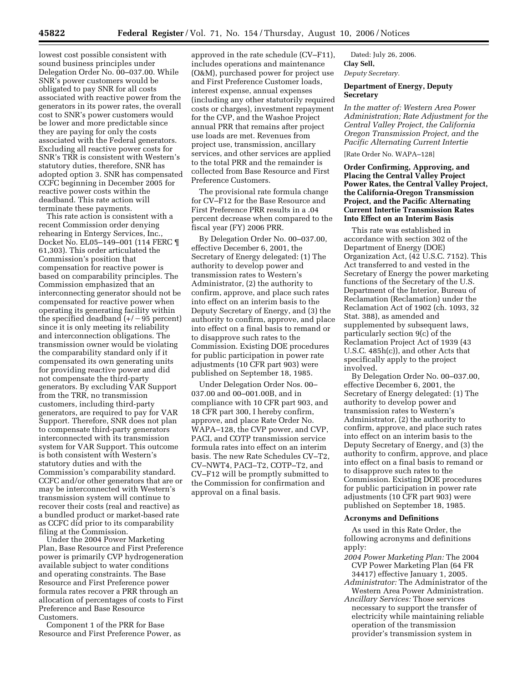sound business principles under Delegation Order No. 00–037.00. While SNR's power customers would be obligated to pay SNR for all costs associated with reactive power from the generators in its power rates, the overall cost to SNR's power customers would be lower and more predictable since they are paying for only the costs associated with the Federal generators. Excluding all reactive power costs for SNR's TRR is consistent with Western's statutory duties, therefore, SNR has adopted option 3. SNR has compensated CCFC beginning in December 2005 for reactive power costs within the deadband. This rate action will terminate these payments.

This rate action is consistent with a recent Commission order denying rehearing in Entergy Services, Inc., Docket No. EL05–149–001 (114 FERC ¶ 61,303). This order articulated the Commission's position that compensation for reactive power is based on comparability principles. The Commission emphasized that an interconnecting generator should not be compensated for reactive power when operating its generating facility within the specified deadband  $(+/-95$  percent) since it is only meeting its reliability and interconnection obligations. The transmission owner would be violating the comparability standard only if it compensated its own generating units for providing reactive power and did not compensate the third-party generators. By excluding VAR Support from the TRR, no transmission customers, including third-party generators, are required to pay for VAR Support. Therefore, SNR does not plan to compensate third-party generators interconnected with its transmission system for VAR Support. This outcome is both consistent with Western's statutory duties and with the Commission's comparability standard. CCFC and/or other generators that are or may be interconnected with Western's transmission system will continue to recover their costs (real and reactive) as a bundled product or market-based rate as CCFC did prior to its comparability filing at the Commission.

Under the 2004 Power Marketing Plan, Base Resource and First Preference power is primarily CVP hydrogeneration available subject to water conditions and operating constraints. The Base Resource and First Preference power formula rates recover a PRR through an allocation of percentages of costs to First Preference and Base Resource Customers.

Component 1 of the PRR for Base Resource and First Preference Power, as

approved in the rate schedule (CV–F11), includes operations and maintenance (O&M), purchased power for project use and First Preference Customer loads, interest expense, annual expenses (including any other statutorily required costs or charges), investment repayment for the CVP, and the Washoe Project annual PRR that remains after project use loads are met. Revenues from project use, transmission, ancillary services, and other services are applied to the total PRR and the remainder is collected from Base Resource and First Preference Customers.

The provisional rate formula change for CV–F12 for the Base Resource and First Preference PRR results in a .04 percent decrease when compared to the fiscal year (FY) 2006 PRR.

By Delegation Order No. 00–037.00, effective December 6, 2001, the Secretary of Energy delegated: (1) The authority to develop power and transmission rates to Western's Administrator, (2) the authority to confirm, approve, and place such rates into effect on an interim basis to the Deputy Secretary of Energy, and (3) the authority to confirm, approve, and place into effect on a final basis to remand or to disapprove such rates to the Commission. Existing DOE procedures for public participation in power rate adjustments (10 CFR part 903) were published on September 18, 1985.

Under Delegation Order Nos. 00– 037.00 and 00–001.00B, and in compliance with 10 CFR part 903, and 18 CFR part 300, I hereby confirm, approve, and place Rate Order No. WAPA–128, the CVP power, and CVP, PACI, and COTP transmission service formula rates into effect on an interim basis. The new Rate Schedules CV–T2, CV–NWT4, PACI–T2, COTP–T2, and CV–F12 will be promptly submitted to the Commission for confirmation and approval on a final basis.

Dated: July 26, 2006. **Clay Sell,**  *Deputy Secretary.* 

### **Department of Energy, Deputy Secretary**

*In the matter of: Western Area Power Administration; Rate Adjustment for the Central Valley Project, the California Oregon Transmission Project, and the Pacific Alternating Current Intertie* 

[Rate Order No. WAPA–128]

**Order Confirming, Approving, and Placing the Central Valley Project Power Rates, the Central Valley Project, the California-Oregon Transmission Project, and the Pacific Alternating Current Intertie Transmission Rates Into Effect on an Interim Basis** 

This rate was established in accordance with section 302 of the Department of Energy (DOE) Organization Act, (42 U.S.C. 7152). This Act transferred to and vested in the Secretary of Energy the power marketing functions of the Secretary of the U.S. Department of the Interior, Bureau of Reclamation (Reclamation) under the Reclamation Act of 1902 (ch. 1093, 32 Stat. 388), as amended and supplemented by subsequent laws, particularly section 9(c) of the Reclamation Project Act of 1939 (43 U.S.C. 485h(c)), and other Acts that specifically apply to the project involved.

By Delegation Order No. 00–037.00, effective December 6, 2001, the Secretary of Energy delegated: (1) The authority to develop power and transmission rates to Western's Administrator, (2) the authority to confirm, approve, and place such rates into effect on an interim basis to the Deputy Secretary of Energy, and (3) the authority to confirm, approve, and place into effect on a final basis to remand or to disapprove such rates to the Commission. Existing DOE procedures for public participation in power rate adjustments (10 CFR part 903) were published on September 18, 1985.

### **Acronyms and Definitions**

As used in this Rate Order, the following acronyms and definitions apply:

- *2004 Power Marketing Plan:* The 2004 CVP Power Marketing Plan (64 FR 34417) effective January 1, 2005.
- *Administrator:* The Administrator of the Western Area Power Administration.
- *Ancillary Services:* Those services necessary to support the transfer of electricity while maintaining reliable operation of the transmission provider's transmission system in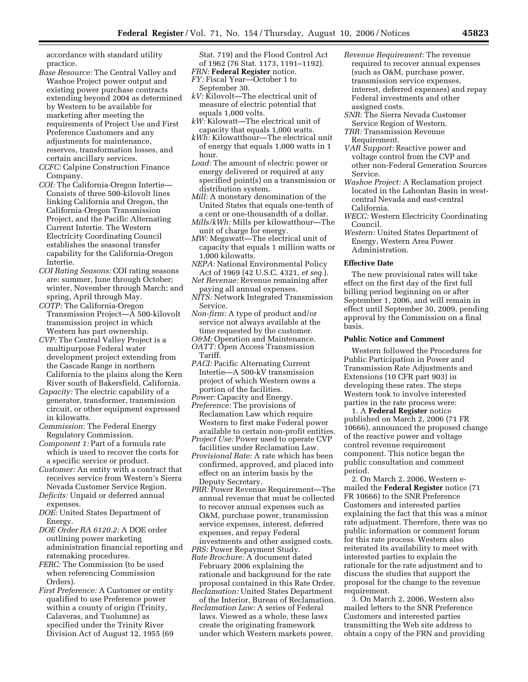accordance with standard utility practice.

- *Base Resource:* The Central Valley and Washoe Project power output and existing power purchase contracts extending beyond 2004 as determined by Western to be available for marketing after meeting the requirements of Project Use and First Preference Customers and any adjustments for maintenance, reserves, transformation losses, and certain ancillary services.
- *CCFC:* Calpine Construction Finance Company.
- *COI:* The California-Oregon Intertie— Consists of three 500-kilovolt lines linking California and Oregon, the California-Oregon Transmission Project, and the Pacific Alternating Current Intertie. The Western Electricity Coordinating Council establishes the seasonal transfer capability for the California-Oregon Intertie.
- *COI Rating Seasons:* COI rating seasons are: summer, June through October; winter, November through March; and spring, April through May.
- *COTP:* The California-Oregon Transmission Project—A 500-kilovolt transmission project in which Western has part ownership.
- *CVP:* The Central Valley Project is a multipurpose Federal water development project extending from the Cascade Range in northern California to the plains along the Kern River south of Bakersfield, California.
- *Capacity:* The electric capability of a generator, transformer, transmission circuit, or other equipment expressed in kilowatts.
- *Commission:* The Federal Energy Regulatory Commission.
- *Component 1:* Part of a formula rate which is used to recover the costs for a specific service or product.
- *Customer:* An entity with a contract that receives service from Western's Sierra Nevada Customer Service Region.
- *Deficits:* Unpaid or deferred annual expenses.
- *DOE:* United States Department of Energy.
- *DOE Order RA 6120.2:* A DOE order outlining power marketing administration financial reporting and ratemaking procedures.
- *FERC:* The Commission (to be used when referencing Commission Orders).
- *First Preference:* A Customer or entity qualified to use Preference power within a county of origin (Trinity, Calaveras, and Tuolumne) as specified under the Trinity River Division Act of August 12, 1955 (69

#### Stat. 719) and the Flood Control Act of 1962 (76 Stat. 1173, 1191–1192).

- *FRN:* **Federal Register** notice.
- *FY:* Fiscal Year—October 1 to
- September 30.
- *kV:* Kilovolt—The electrical unit of measure of electric potential that equals 1,000 volts.
- *kW:* Kilowatt—The electrical unit of capacity that equals 1,000 watts.
- *kWh:* Kilowatthour—The electrical unit of energy that equals 1,000 watts in 1 hour.
- *Load:* The amount of electric power or energy delivered or required at any specified point(s) on a transmission or distribution system.
- *Mill:* A monetary denomination of the United States that equals one-tenth of a cent or one-thousandth of a dollar.
- *Mills/kWh:* Mills per kilowatthour—The unit of charge for energy.
- *MW:* Megawatt—The electrical unit of capacity that equals 1 million watts or 1,000 kilowatts.
- *NEPA:* National Environmental Policy Act of 1969 (42 U.S.C. 4321, *et seq.*).
- *Net Revenue:* Revenue remaining after paying all annual expenses.
- *NITS:* Network Integrated Transmission Service.
- *Non-firm:* A type of product and/or service not always available at the time requested by the customer.
- *O&M:* Operation and Maintenance. *OATT:* Open Access Transmission
- Tariff.
- *PACI:* Pacific Alternating Current Intertie—A 500-kV transmission project of which Western owns a portion of the facilities.
- *Power:* Capacity and Energy.
- *Preference:* The provisions of Reclamation Law which require Western to first make Federal power available to certain non-profit entities. *Project Use:* Power used to operate CVP
- facilities under Reclamation Law. *Provisional Rate:* A rate which has been confirmed, approved, and placed into effect on an interim basis by the Deputy Secretary.
- *PRR:* Power Revenue Requirement—The annual revenue that must be collected to recover annual expenses such as O&M, purchase power, transmission service expenses, interest, deferred expenses, and repay Federal investments and other assigned costs.
- *PRS:* Power Repayment Study. *Rate Brochure:* A document dated
- February 2006 explaining the rationale and background for the rate proposal contained in this Rate Order.
- *Reclamation:* United States Department of the Interior, Bureau of Reclamation.
- *Reclamation Law:* A series of Federal laws. Viewed as a whole, these laws create the originating framework under which Western markets power.
- *Revenue Requirement:* The revenue required to recover annual expenses (such as O&M, purchase power, transmission service expenses, interest, deferred expenses) and repay Federal investments and other assigned costs.
- *SNR:* The Sierra Nevada Customer Service Region of Western.
- *TRR:* Transmission Revenue Requirement.
- *VAR Support:* Reactive power and voltage control from the CVP and other non-Federal Generation Sources Service.
- *Washoe Project:* A Reclamation project located in the Lahontan Basin in westcentral Nevada and east-central California.
- *WECC:* Western Electricity Coordinating Council.
- *Western:* United States Department of Energy, Western Area Power Administration.

#### **Effective Date**

The new provisional rates will take effect on the first day of the first full billing period beginning on or after September 1, 2006, and will remain in effect until September 30, 2009, pending approval by the Commission on a final basis.

### **Public Notice and Comment**

Western followed the Procedures for Public Participation in Power and Transmission Rate Adjustments and Extensions (10 CFR part 903) in developing these rates. The steps Western took to involve interested parties in the rate process were:

1. A **Federal Register** notice published on March 2, 2006 (71 FR 10666), announced the proposed change of the reactive power and voltage control revenue requirement component. This notice began the public consultation and comment period.

2. On March 2, 2006, Western emailed the **Federal Register** notice (71 FR 10666) to the SNR Preference Customers and interested parties explaining the fact that this was a minor rate adjustment. Therefore, there was no public information or comment forum for this rate process. Western also reiterated its availability to meet with interested parties to explain the rationale for the rate adjustment and to discuss the studies that support the proposal for the change to the revenue requirement.

3. On March 2, 2006, Western also mailed letters to the SNR Preference Customers and interested parties transmitting the Web site address to obtain a copy of the FRN and providing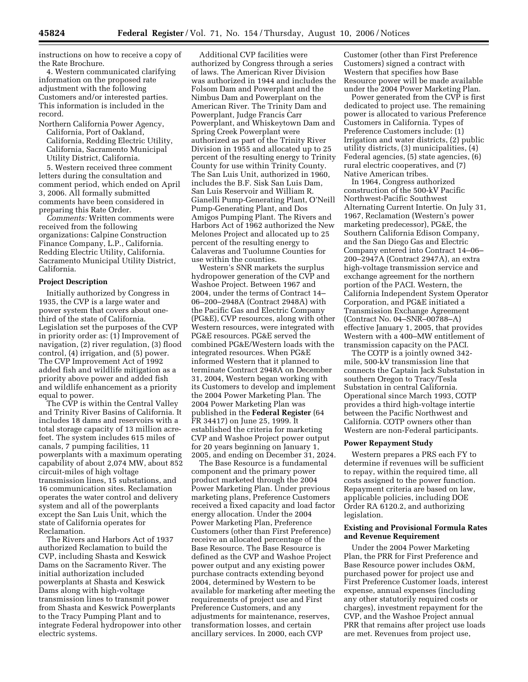instructions on how to receive a copy of the Rate Brochure.

4. Western communicated clarifying information on the proposed rate adjustment with the following Customers and/or interested parties. This information is included in the record.

Northern California Power Agency, California, Port of Oakland, California, Redding Electric Utility, California, Sacramento Municipal Utility District, California.

5. Western received three comment letters during the consultation and comment period, which ended on April 3, 2006. All formally submitted comments have been considered in preparing this Rate Order.

*Comments:* Written comments were received from the following organizations: Calpine Construction Finance Company, L.P., California. Redding Electric Utility, California. Sacramento Municipal Utility District, California.

#### **Project Description**

Initially authorized by Congress in 1935, the CVP is a large water and power system that covers about onethird of the state of California. Legislation set the purposes of the CVP in priority order as: (1) Improvement of navigation, (2) river regulation, (3) flood control, (4) irrigation, and (5) power. The CVP Improvement Act of 1992 added fish and wildlife mitigation as a priority above power and added fish and wildlife enhancement as a priority equal to power.

The CVP is within the Central Valley and Trinity River Basins of California. It includes 18 dams and reservoirs with a total storage capacity of 13 million acrefeet. The system includes 615 miles of canals, 7 pumping facilities, 11 powerplants with a maximum operating capability of about 2,074 MW, about 852 circuit-miles of high voltage transmission lines, 15 substations, and 16 communication sites. Reclamation operates the water control and delivery system and all of the powerplants except the San Luis Unit, which the state of California operates for Reclamation.

The Rivers and Harbors Act of 1937 authorized Reclamation to build the CVP, including Shasta and Keswick Dams on the Sacramento River. The initial authorization included powerplants at Shasta and Keswick Dams along with high-voltage transmission lines to transmit power from Shasta and Keswick Powerplants to the Tracy Pumping Plant and to integrate Federal hydropower into other electric systems.

Additional CVP facilities were authorized by Congress through a series of laws. The American River Division was authorized in 1944 and includes the Folsom Dam and Powerplant and the Nimbus Dam and Powerplant on the American River. The Trinity Dam and Powerplant, Judge Francis Carr Powerplant, and Whiskeytown Dam and Spring Creek Powerplant were authorized as part of the Trinity River Division in 1955 and allocated up to 25 percent of the resulting energy to Trinity County for use within Trinity County. The San Luis Unit, authorized in 1960, includes the B.F. Sisk San Luis Dam, San Luis Reservoir and William R. Gianelli Pump-Generating Plant, O'Neill Pump-Generating Plant, and Dos Amigos Pumping Plant. The Rivers and Harbors Act of 1962 authorized the New Melones Project and allocated up to 25 percent of the resulting energy to Calaveras and Tuolumne Counties for use within the counties.

Western's SNR markets the surplus hydropower generation of the CVP and Washoe Project. Between 1967 and 2004, under the terms of Contract 14– 06–200–2948A (Contract 2948A) with the Pacific Gas and Electric Company (PG&E), CVP resources, along with other Western resources, were integrated with PG&E resources. PG&E served the combined PG&E/Western loads with the integrated resources. When PG&E informed Western that it planned to terminate Contract 2948A on December 31, 2004, Western began working with its Customers to develop and implement the 2004 Power Marketing Plan. The 2004 Power Marketing Plan was published in the **Federal Register** (64 FR 34417) on June 25, 1999. It established the criteria for marketing CVP and Washoe Project power output for 20 years beginning on January 1, 2005, and ending on December 31, 2024.

The Base Resource is a fundamental component and the primary power product marketed through the 2004 Power Marketing Plan. Under previous marketing plans, Preference Customers received a fixed capacity and load factor energy allocation. Under the 2004 Power Marketing Plan, Preference Customers (other than First Preference) receive an allocated percentage of the Base Resource. The Base Resource is defined as the CVP and Washoe Project power output and any existing power purchase contracts extending beyond 2004, determined by Western to be available for marketing after meeting the requirements of project use and First Preference Customers, and any adjustments for maintenance, reserves, transformation losses, and certain ancillary services. In 2000, each CVP

Customer (other than First Preference Customers) signed a contract with Western that specifies how Base Resource power will be made available under the 2004 Power Marketing Plan.

Power generated from the CVP is first dedicated to project use. The remaining power is allocated to various Preference Customers in California. Types of Preference Customers include: (1) Irrigation and water districts, (2) public utility districts, (3) municipalities, (4) Federal agencies, (5) state agencies, (6) rural electric cooperatives, and (7) Native American tribes.

In 1964, Congress authorized construction of the 500-kV Pacific Northwest-Pacific Southwest Alternating Current Intertie. On July 31, 1967, Reclamation (Western's power marketing predecessor), PG&E, the Southern California Edison Company, and the San Diego Gas and Electric Company entered into Contract 14–06– 200–2947A (Contract 2947A), an extra high-voltage transmission service and exchange agreement for the northern portion of the PACI. Western, the California Independent System Operator Corporation, and PG&E initiated a Transmission Exchange Agreement (Contract No. 04–SNR–00788–A) effective January 1, 2005, that provides Western with a 400–MW entitlement of transmission capacity on the PACI.

The COTP is a jointly owned 342 mile, 500-kV transmission line that connects the Captain Jack Substation in southern Oregon to Tracy/Tesla Substation in central California. Operational since March 1993, COTP provides a third high-voltage intertie between the Pacific Northwest and California. COTP owners other than Western are non-Federal participants.

#### **Power Repayment Study**

Western prepares a PRS each FY to determine if revenues will be sufficient to repay, within the required time, all costs assigned to the power function. Repayment criteria are based on law, applicable policies, including DOE Order RA 6120.2, and authorizing legislation.

### **Existing and Provisional Formula Rates and Revenue Requirement**

Under the 2004 Power Marketing Plan, the PRR for First Preference and Base Resource power includes O&M, purchased power for project use and First Preference Customer loads, interest expense, annual expenses (including any other statutorily required costs or charges), investment repayment for the CVP, and the Washoe Project annual PRR that remains after project use loads are met. Revenues from project use,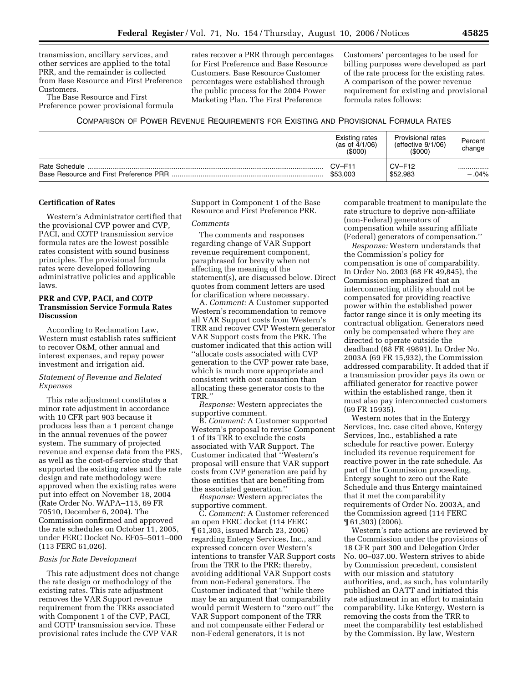transmission, ancillary services, and other services are applied to the total PRR, and the remainder is collected from Base Resource and First Preference Customers.

The Base Resource and First Preference power provisional formula rates recover a PRR through percentages for First Preference and Base Resource Customers. Base Resource Customer percentages were established through the public process for the 2004 Power Marketing Plan. The First Preference

Customers' percentages to be used for billing purposes were developed as part of the rate process for the existing rates. A comparison of the power revenue requirement for existing and provisional formula rates follows:

| Comparison of Power Revenue Requirements for Existing and Provisional Formula Rates |  |  |  |
|-------------------------------------------------------------------------------------|--|--|--|
|-------------------------------------------------------------------------------------|--|--|--|

|                                                         | Existing rates<br>(as of $\frac{4}{100}$ )<br>(5000) | <b>Provisional rates</b><br>(effective $9/1/06$ )<br>(\$000) | Percent<br>change |
|---------------------------------------------------------|------------------------------------------------------|--------------------------------------------------------------|-------------------|
| Rate Schedule<br>Base Resource and First Preference PRR | $C-V-F11$<br>\$53.003                                | $CV-F12$<br>\$52,983                                         | <br>$-.04%$       |

### **Certification of Rates**

Western's Administrator certified that the provisional CVP power and CVP, PACI, and COTP transmission service formula rates are the lowest possible rates consistent with sound business principles. The provisional formula rates were developed following administrative policies and applicable laws.

### **PRR and CVP, PACI, and COTP Transmission Service Formula Rates Discussion**

According to Reclamation Law, Western must establish rates sufficient to recover O&M, other annual and interest expenses, and repay power investment and irrigation aid.

### *Statement of Revenue and Related Expenses*

This rate adjustment constitutes a minor rate adjustment in accordance with 10 CFR part 903 because it produces less than a 1 percent change in the annual revenues of the power system. The summary of projected revenue and expense data from the PRS, as well as the cost-of-service study that supported the existing rates and the rate design and rate methodology were approved when the existing rates were put into effect on November 18, 2004 (Rate Order No. WAPA–115, 69 FR 70510, December 6, 2004). The Commission confirmed and approved the rate schedules on October 11, 2005, under FERC Docket No. EF05–5011–000 (113 FERC 61,026).

#### *Basis for Rate Development*

This rate adjustment does not change the rate design or methodology of the existing rates. This rate adjustment removes the VAR Support revenue requirement from the TRRs associated with Component 1 of the CVP, PACI, and COTP transmission service. These provisional rates include the CVP VAR

Support in Component 1 of the Base Resource and First Preference PRR.

#### *Comments*

The comments and responses regarding change of VAR Support revenue requirement component, paraphrased for brevity when not affecting the meaning of the statement(s), are discussed below. Direct quotes from comment letters are used for clarification where necessary.

A. *Comment:* A Customer supported Western's recommendation to remove all VAR Support costs from Western's TRR and recover CVP Western generator VAR Support costs from the PRR. The customer indicated that this action will ''allocate costs associated with CVP generation to the CVP power rate base, which is much more appropriate and consistent with cost causation than allocating these generator costs to the TRR.''

*Response:* Western appreciates the supportive comment.

B. *Comment:* A Customer supported Western's proposal to revise Component 1 of its TRR to exclude the costs associated with VAR Support. The Customer indicated that ''Western's proposal will ensure that VAR support costs from CVP generation are paid by those entities that are benefiting from the associated generation.''

*Response:* Western appreciates the supportive comment.

C. *Comment:* A Customer referenced an open FERC docket (114 FERC ¶ 61,303, issued March 23, 2006) regarding Entergy Services, Inc., and expressed concern over Western's intentions to transfer VAR Support costs from the TRR to the PRR; thereby, avoiding additional VAR Support costs from non-Federal generators. The Customer indicated that ''while there may be an argument that comparability would permit Western to ''zero out'' the VAR Support component of the TRR and not compensate either Federal or non-Federal generators, it is not

comparable treatment to manipulate the rate structure to deprive non-affiliate (non-Federal) generators of compensation while assuring affiliate (Federal) generators of compensation.''

*Response:* Western understands that the Commission's policy for compensation is one of comparability. In Order No. 2003 (68 FR 49,845), the Commission emphasized that an interconnecting utility should not be compensated for providing reactive power within the established power factor range since it is only meeting its contractual obligation. Generators need only be compensated where they are directed to operate outside the deadband (68 FR 49891). In Order No. 2003A (69 FR 15,932), the Commission addressed comparability. It added that if a transmission provider pays its own or affiliated generator for reactive power within the established range, then it must also pay interconnected customers (69 FR 15935).

Western notes that in the Entergy Services, Inc. case cited above, Entergy Services, Inc., established a rate schedule for reactive power. Entergy included its revenue requirement for reactive power in the rate schedule. As part of the Commission proceeding, Entergy sought to zero out the Rate Schedule and thus Entergy maintained that it met the comparability requirements of Order No. 2003A, and the Commission agreed (114 FERC ¶ 61,303) (2006).

Western's rate actions are reviewed by the Commission under the provisions of 18 CFR part 300 and Delegation Order No. 00–037.00. Western strives to abide by Commission precedent, consistent with our mission and statutory authorities, and, as such, has voluntarily published an OATT and initiated this rate adjustment in an effort to maintain comparability. Like Entergy, Western is removing the costs from the TRR to meet the comparability test established by the Commission. By law, Western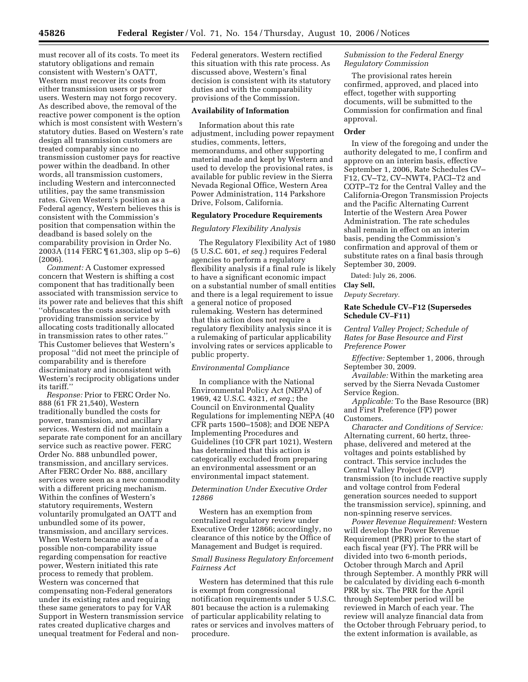must recover all of its costs. To meet its statutory obligations and remain consistent with Western's OATT, Western must recover its costs from either transmission users or power users. Western may not forgo recovery. As described above, the removal of the reactive power component is the option which is most consistent with Western's statutory duties. Based on Western's rate design all transmission customers are treated comparably since no transmission customer pays for reactive power within the deadband. In other words, all transmission customers, including Western and interconnected utilities, pay the same transmission rates. Given Western's position as a Federal agency, Western believes this is consistent with the Commission's position that compensation within the deadband is based solely on the comparability provision in Order No. 2003A (114 FERC ¶ 61,303, slip op 5–6) (2006).

*Comment:* A Customer expressed concern that Western is shifting a cost component that has traditionally been associated with transmission service to its power rate and believes that this shift ''obfuscates the costs associated with providing transmission service by allocating costs traditionally allocated in transmission rates to other rates.'' This Customer believes that Western's proposal ''did not meet the principle of comparability and is therefore discriminatory and inconsistent with Western's reciprocity obligations under its tariff.''

*Response:* Prior to FERC Order No. 888 (61 FR 21,540), Western traditionally bundled the costs for power, transmission, and ancillary services. Western did not maintain a separate rate component for an ancillary service such as reactive power. FERC Order No. 888 unbundled power, transmission, and ancillary services. After FERC Order No. 888, ancillary services were seen as a new commodity with a different pricing mechanism. Within the confines of Western's statutory requirements, Western voluntarily promulgated an OATT and unbundled some of its power, transmission, and ancillary services. When Western became aware of a possible non-comparability issue regarding compensation for reactive power, Western initiated this rate process to remedy that problem. Western was concerned that compensating non-Federal generators under its existing rates and requiring these same generators to pay for VAR Support in Western transmission service rates created duplicative charges and unequal treatment for Federal and nonFederal generators. Western rectified this situation with this rate process. As discussed above, Western's final decision is consistent with its statutory duties and with the comparability provisions of the Commission.

#### **Availability of Information**

Information about this rate adjustment, including power repayment studies, comments, letters, memorandums, and other supporting material made and kept by Western and used to develop the provisional rates, is available for public review in the Sierra Nevada Regional Office, Western Area Power Administration, 114 Parkshore Drive, Folsom, California.

### **Regulatory Procedure Requirements**

#### *Regulatory Flexibility Analysis*

The Regulatory Flexibility Act of 1980 (5 U.S.C. 601, *et seq.*) requires Federal agencies to perform a regulatory flexibility analysis if a final rule is likely to have a significant economic impact on a substantial number of small entities and there is a legal requirement to issue a general notice of proposed rulemaking. Western has determined that this action does not require a regulatory flexibility analysis since it is a rulemaking of particular applicability involving rates or services applicable to public property.

### *Environmental Compliance*

In compliance with the National Environmental Policy Act (NEPA) of 1969, 42 U.S.C. 4321, *et seq.*; the Council on Environmental Quality Regulations for implementing NEPA (40 CFR parts 1500–1508); and DOE NEPA Implementing Procedures and Guidelines (10 CFR part 1021), Western has determined that this action is categorically excluded from preparing an environmental assessment or an environmental impact statement.

#### *Determination Under Executive Order 12866*

Western has an exemption from centralized regulatory review under Executive Order 12866; accordingly, no clearance of this notice by the Office of Management and Budget is required.

### *Small Business Regulatory Enforcement Fairness Act*

Western has determined that this rule is exempt from congressional notification requirements under 5 U.S.C. 801 because the action is a rulemaking of particular applicability relating to rates or services and involves matters of procedure.

### *Submission to the Federal Energy Regulatory Commission*

The provisional rates herein confirmed, approved, and placed into effect, together with supporting documents, will be submitted to the Commission for confirmation and final approval.

#### **Order**

In view of the foregoing and under the authority delegated to me, I confirm and approve on an interim basis, effective September 1, 2006, Rate Schedules CV– F12, CV–T2, CV–NWT4, PACI–T2 and COTP–T2 for the Central Valley and the California-Oregon Transmission Projects and the Pacific Alternating Current Intertie of the Western Area Power Administration. The rate schedules shall remain in effect on an interim basis, pending the Commission's confirmation and approval of them or substitute rates on a final basis through September 30, 2009.

Dated: July 26, 2006.

**Clay Sell,** 

*Deputy Secretary.* 

### **Rate Schedule CV–F12 (Supersedes Schedule CV–F11)**

*Central Valley Project; Schedule of Rates for Base Resource and First Preference Power* 

*Effective:* September 1, 2006, through September 30, 2009.

*Available:* Within the marketing area served by the Sierra Nevada Customer Service Region.

*Applicable:* To the Base Resource (BR) and First Preference (FP) power Customers.

*Character and Conditions of Service:*  Alternating current, 60 hertz, threephase, delivered and metered at the voltages and points established by contract. This service includes the Central Valley Project (CVP) transmission (to include reactive supply and voltage control from Federal generation sources needed to support the transmission service), spinning, and non-spinning reserve services.

*Power Revenue Requirement:* Western will develop the Power Revenue Requirement (PRR) prior to the start of each fiscal year (FY). The PRR will be divided into two 6-month periods, October through March and April through September. A monthly PRR will be calculated by dividing each 6-month PRR by six. The PRR for the April through September period will be reviewed in March of each year. The review will analyze financial data from the October through February period, to the extent information is available, as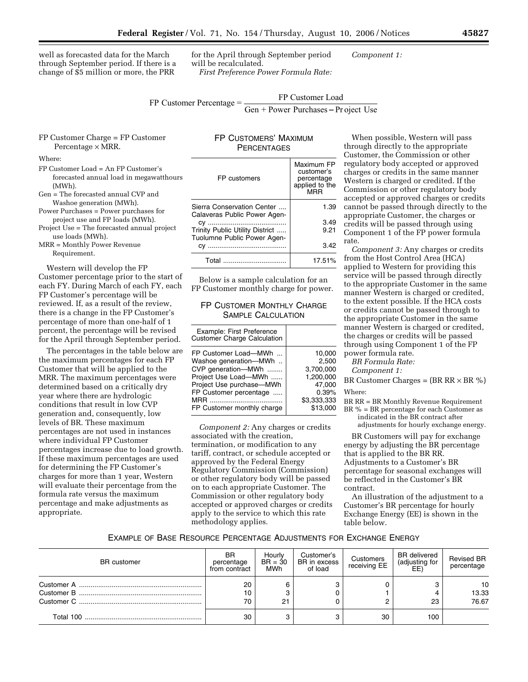well as forecasted data for the March through September period. If there is a change of \$5 million or more, the PRR

for the April through September period will be recalculated. *Component 1:* 

*First Preference Power Formula Rate:* 

FP Customer Percentage = Customer Percentage =  $\frac{\text{FP Customer Load}}{\text{Gen} + \text{Power Purchases} - \text{Project Use}}$ 

FP Customer Charge = FP Customer Percentage  $\times$  MRR.

Where:

- FP Customer Load = An FP Customer's forecasted annual load in megawatthours (MWh).
- Gen = The forecasted annual CVP and Washoe generation (MWh).
- Power Purchases = Power purchases for project use and FP loads (MWh).
- Project Use = The forecasted annual project use loads (MWh).
- MRR = Monthly Power Revenue Requirement.

Western will develop the FP Customer percentage prior to the start of each FY. During March of each FY, each FP Customer's percentage will be reviewed. If, as a result of the review, there is a change in the FP Customer's percentage of more than one-half of 1 percent, the percentage will be revised for the April through September period.

The percentages in the table below are the maximum percentages for each FP Customer that will be applied to the MRR. The maximum percentages were determined based on a critically dry year where there are hydrologic conditions that result in low CVP generation and, consequently, low levels of BR. These maximum percentages are not used in instances where individual FP Customer percentages increase due to load growth. If these maximum percentages are used for determining the FP Customer's charges for more than 1 year, Western will evaluate their percentage from the formula rate versus the maximum percentage and make adjustments as appropriate.

### FP CUSTOMERS' MAXIMUM **PERCENTAGES**

| FP customers                                                   | Maximum FP<br>customer's<br>percentage<br>applied to the<br><b>MRR</b> |
|----------------------------------------------------------------|------------------------------------------------------------------------|
| Sierra Conservation Center<br>Calaveras Public Power Agen-     | 1.39                                                                   |
|                                                                | 3.49                                                                   |
| Trinity Public Utility District<br>Tuolumne Public Power Agen- | 9.21                                                                   |
|                                                                | 3.42                                                                   |
| Total                                                          | 17.51%                                                                 |

Below is a sample calculation for an FP Customer monthly charge for power.

### FP CUSTOMER MONTHLY CHARGE SAMPLE CALCULATION

| 10,000      |
|-------------|
| 2,500       |
| 3.700.000   |
| 1.200.000   |
| 47.000      |
| 0.39%       |
| \$3,333,333 |
| \$13,000    |
|             |

*Component 2:* Any charges or credits associated with the creation, termination, or modification to any tariff, contract, or schedule accepted or approved by the Federal Energy Regulatory Commission (Commission) or other regulatory body will be passed on to each appropriate Customer. The Commission or other regulatory body accepted or approved charges or credits apply to the service to which this rate methodology applies.

When possible, Western will pass through directly to the appropriate Customer, the Commission or other regulatory body accepted or approved charges or credits in the same manner Western is charged or credited. If the Commission or other regulatory body accepted or approved charges or credits cannot be passed through directly to the appropriate Customer, the charges or credits will be passed through using Component 1 of the FP power formula rate.

*Component 3:* Any charges or credits from the Host Control Area (HCA) applied to Western for providing this service will be passed through directly to the appropriate Customer in the same manner Western is charged or credited, to the extent possible. If the HCA costs or credits cannot be passed through to the appropriate Customer in the same manner Western is charged or credited, the charges or credits will be passed through using Component 1 of the FP power formula rate.

*BR Formula Rate:* 

*Component 1:* 

BR Customer Charges =  $(BR RR \times BR \%)$ Where:

- BR RR = BR Monthly Revenue Requirement BR  $% = BR$  percentage for each Customer as indicated in the BR contract after
	- adjustments for hourly exchange energy.

BR Customers will pay for exchange energy by adjusting the BR percentage that is applied to the BR RR. Adjustments to a Customer's BR percentage for seasonal exchanges will be reflected in the Customer's BR contract.

An illustration of the adjustment to a Customer's BR percentage for hourly Exchange Energy (EE) is shown in the table below.

#### EXAMPLE OF BASE RESOURCE PERCENTAGE ADJUSTMENTS FOR EXCHANGE ENERGY

| <b>BR</b> customer | <b>BR</b><br>percentage<br>from contract | Hourly<br>$BR = 30$<br><b>MWh</b> | Customer's<br>BR in excess<br>of load | Customers<br>receiving EE | <b>BR</b> delivered<br>(adjusting for | <b>Revised BR</b><br>percentage |
|--------------------|------------------------------------------|-----------------------------------|---------------------------------------|---------------------------|---------------------------------------|---------------------------------|
|                    | 20<br>10<br>70                           | 21                                |                                       |                           | 23                                    | 10<br>13.33<br>76.67            |
|                    | 30                                       | ◠                                 |                                       | 30                        | 100                                   |                                 |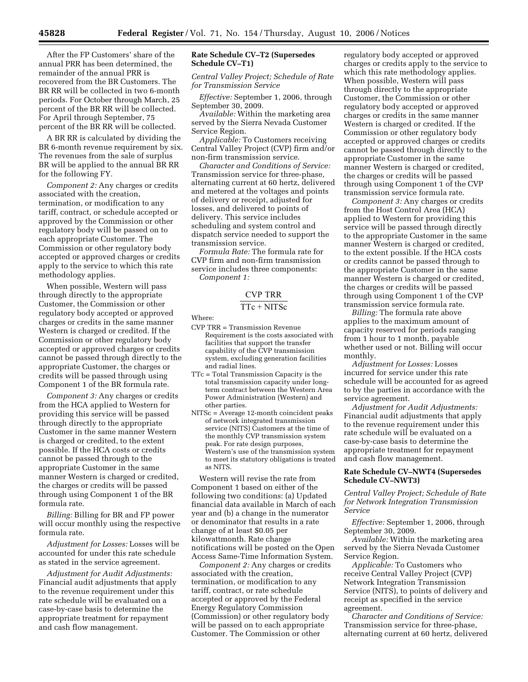After the FP Customers' share of the annual PRR has been determined, the remainder of the annual PRR is recovered from the BR Customers. The BR RR will be collected in two 6-month periods. For October through March, 25 percent of the BR RR will be collected. For April through September, 75 percent of the BR RR will be collected.

A BR RR is calculated by dividing the BR 6-month revenue requirement by six. The revenues from the sale of surplus BR will be applied to the annual BR RR for the following FY.

*Component 2:* Any charges or credits associated with the creation, termination, or modification to any tariff, contract, or schedule accepted or approved by the Commission or other regulatory body will be passed on to each appropriate Customer. The Commission or other regulatory body accepted or approved charges or credits apply to the service to which this rate methodology applies.

When possible, Western will pass through directly to the appropriate Customer, the Commission or other regulatory body accepted or approved charges or credits in the same manner Western is charged or credited. If the Commission or other regulatory body accepted or approved charges or credits cannot be passed through directly to the appropriate Customer, the charges or credits will be passed through using Component 1 of the BR formula rate.

*Component 3:* Any charges or credits from the HCA applied to Western for providing this service will be passed through directly to the appropriate Customer in the same manner Western is charged or credited, to the extent possible. If the HCA costs or credits cannot be passed through to the appropriate Customer in the same manner Western is charged or credited, the charges or credits will be passed through using Component 1 of the BR formula rate.

*Billing:* Billing for BR and FP power will occur monthly using the respective formula rate.

*Adjustment for Losses:* Losses will be accounted for under this rate schedule as stated in the service agreement.

*Adjustment for Audit Adjustments:*  Financial audit adjustments that apply to the revenue requirement under this rate schedule will be evaluated on a case-by-case basis to determine the appropriate treatment for repayment and cash flow management.

### **Rate Schedule CV–T2 (Supersedes Schedule CV–T1)**

*Central Valley Project; Schedule of Rate for Transmission Service* 

*Effective:* September 1, 2006, through September 30, 2009.

*Available:* Within the marketing area served by the Sierra Nevada Customer Service Region.

*Applicable:* To Customers receiving Central Valley Project (CVP) firm and/or non-firm transmission service.

*Character and Conditions of Service:*  Transmission service for three-phase, alternating current at 60 hertz, delivered and metered at the voltages and points of delivery or receipt, adjusted for losses, and delivered to points of delivery. This service includes scheduling and system control and dispatch service needed to support the transmission service.

*Formula Rate:* The formula rate for CVP firm and non-firm transmission service includes three components: *Component 1:* 

## CVP TRR

#### TTc + NITSc

Where:

- CVP TRR = Transmission Revenue Requirement is the costs associated with facilities that support the transfer capability of the CVP transmission system, excluding generation facilities and radial lines.
- TTc = Total Transmission Capacity is the total transmission capacity under longterm contract between the Western Area Power Administration (Western) and other parties.
- NITSc = Average 12-month coincident peaks of network integrated transmission service (NITS) Customers at the time of the monthly CVP transmission system peak. For rate design purposes, Western's use of the transmission system to meet its statutory obligations is treated as NITS.

Western will revise the rate from Component 1 based on either of the following two conditions: (a) Updated financial data available in March of each year and (b) a change in the numerator or denominator that results in a rate change of at least \$0.05 per kilowattmonth. Rate change notifications will be posted on the Open Access Same-Time Information System.

*Component 2:* Any charges or credits associated with the creation, termination, or modification to any tariff, contract, or rate schedule accepted or approved by the Federal Energy Regulatory Commission (Commission) or other regulatory body will be passed on to each appropriate Customer. The Commission or other

regulatory body accepted or approved charges or credits apply to the service to which this rate methodology applies. When possible, Western will pass through directly to the appropriate Customer, the Commission or other regulatory body accepted or approved charges or credits in the same manner Western is charged or credited. If the Commission or other regulatory body accepted or approved charges or credits cannot be passed through directly to the appropriate Customer in the same manner Western is charged or credited, the charges or credits will be passed through using Component 1 of the CVP transmission service formula rate.

*Component 3:* Any charges or credits from the Host Control Area (HCA) applied to Western for providing this service will be passed through directly to the appropriate Customer in the same manner Western is charged or credited, to the extent possible. If the HCA costs or credits cannot be passed through to the appropriate Customer in the same manner Western is charged or credited, the charges or credits will be passed through using Component 1 of the CVP transmission service formula rate.

*Billing:* The formula rate above applies to the maximum amount of capacity reserved for periods ranging from 1 hour to 1 month, payable whether used or not. Billing will occur monthly.

*Adjustment for Losses:* Losses incurred for service under this rate schedule will be accounted for as agreed to by the parties in accordance with the service agreement.

*Adjustment for Audit Adjustments:*  Financial audit adjustments that apply to the revenue requirement under this rate schedule will be evaluated on a case-by-case basis to determine the appropriate treatment for repayment and cash flow management.

### **Rate Schedule CV–NWT4 (Supersedes Schedule CV–NWT3)**

*Central Valley Project; Schedule of Rate for Network Integration Transmission Service* 

*Effective:* September 1, 2006, through September 30, 2009.

*Available:* Within the marketing area served by the Sierra Nevada Customer Service Region.

*Applicable:* To Customers who receive Central Valley Project (CVP) Network Integration Transmission Service (NITS), to points of delivery and receipt as specified in the service agreement.

*Character and Conditions of Service:*  Transmission service for three-phase, alternating current at 60 hertz, delivered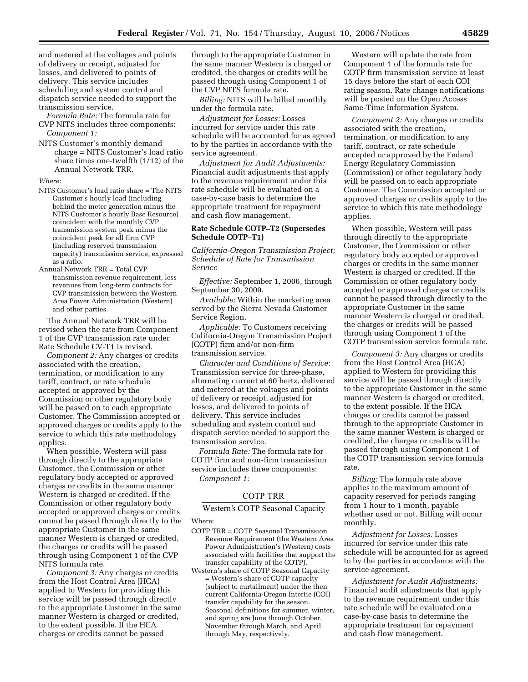and metered at the voltages and points of delivery or receipt, adjusted for losses, and delivered to points of delivery. This service includes scheduling and system control and dispatch service needed to support the transmission service.

*Formula Rate:* The formula rate for CVP NITS includes three components: *Component 1:* 

NITS Customer's monthly demand charge = NITS Customer's load ratio share times one-twelfth (1/12) of the Annual Network TRR.

*Where:* 

- NITS Customer's load ratio share = The NITS Customer's hourly load (including behind the meter generation minus the NITS Customer's hourly Base Resource) coincident with the monthly CVP transmission system peak minus the coincident peak for all firm CVP (including reserved transmission capacity) transmission service, expressed as a ratio.
- Annual Network TRR = Total CVP transmission revenue requirement, less revenues from long-term contracts for CVP transmission between the Western Area Power Administration (Western) and other parties.

The Annual Network TRR will be revised when the rate from Component 1 of the CVP transmission rate under Rate Schedule CV-T1 is revised.

*Component 2:* Any charges or credits associated with the creation, termination, or modification to any tariff, contract, or rate schedule accepted or approved by the Commission or other regulatory body will be passed on to each appropriate Customer. The Commission accepted or approved charges or credits apply to the service to which this rate methodology applies.

When possible, Western will pass through directly to the appropriate Customer, the Commission or other regulatory body accepted or approved charges or credits in the same manner Western is charged or credited. If the Commission or other regulatory body accepted or approved charges or credits cannot be passed through directly to the appropriate Customer in the same manner Western is charged or credited, the charges or credits will be passed through using Component 1 of the CVP NITS formula rate.

*Component 3:* Any charges or credits from the Host Control Area (HCA) applied to Western for providing this service will be passed through directly to the appropriate Customer in the same manner Western is charged or credited, to the extent possible. If the HCA charges or credits cannot be passed

through to the appropriate Customer in the same manner Western is charged or credited, the charges or credits will be passed through using Component 1 of the CVP NITS formula rate.

*Billing:* NITS will be billed monthly under the formula rate.

*Adjustment for Losses:* Losses incurred for service under this rate schedule will be accounted for as agreed to by the parties in accordance with the service agreement.

*Adjustment for Audit Adjustments:*  Financial audit adjustments that apply to the revenue requirement under this rate schedule will be evaluated on a case-by-case basis to determine the appropriate treatment for repayment and cash flow management.

### **Rate Schedule COTP–T2 (Supersedes Schedule COTP–T1)**

*California-Oregon Transmission Project; Schedule of Rate for Transmission Service* 

*Effective:* September 1, 2006, through September 30, 2009.

*Available:* Within the marketing area served by the Sierra Nevada Customer Service Region.

*Applicable:* To Customers receiving California-Oregon Transmission Project (COTP) firm and/or non-firm transmission service.

*Character and Conditions of Service:*  Transmission service for three-phase, alternating current at 60 hertz, delivered and metered at the voltages and points of delivery or receipt, adjusted for losses, and delivered to points of delivery. This service includes scheduling and system control and dispatch service needed to support the transmission service.

*Formula Rate:* The formula rate for COTP firm and non-firm transmission service includes three components: *Component 1:* 

# COTP TRR

Western's COTP Seasonal Capacity Where:

- COTP TRR = COTP Seasonal Transmission Revenue Requirement (the Western Area Power Administration's (Western) costs associated with facilities that support the transfer capability of the COTP).
- Western's share of COTP Seasonal Capacity = Western's share of COTP capacity (subject to curtailment) under the then current California-Oregon Intertie (COI) transfer capability for the season. Seasonal definitions for summer, winter, and spring are June through October, November through March, and April through May, respectively.

Western will update the rate from Component 1 of the formula rate for COTP firm transmission service at least 15 days before the start of each COI rating season. Rate change notifications will be posted on the Open Access Same-Time Information System.

*Component 2:* Any charges or credits associated with the creation, termination, or modification to any tariff, contract, or rate schedule accepted or approved by the Federal Energy Regulatory Commission (Commission) or other regulatory body will be passed on to each appropriate Customer. The Commission accepted or approved charges or credits apply to the service to which this rate methodology applies.

When possible, Western will pass through directly to the appropriate Customer, the Commission or other regulatory body accepted or approved charges or credits in the same manner Western is charged or credited. If the Commission or other regulatory body accepted or approved charges or credits cannot be passed through directly to the appropriate Customer in the same manner Western is charged or credited, the charges or credits will be passed through using Component 1 of the COTP transmission service formula rate.

*Component 3:* Any charges or credits from the Host Control Area (HCA) applied to Western for providing this service will be passed through directly to the appropriate Customer in the same manner Western is charged or credited, to the extent possible. If the HCA charges or credits cannot be passed through to the appropriate Customer in the same manner Western is charged or credited, the charges or credits will be passed through using Component 1 of the COTP transmission service formula rate.

*Billing:* The formula rate above applies to the maximum amount of capacity reserved for periods ranging from 1 hour to 1 month, payable whether used or not. Billing will occur monthly.

*Adjustment for Losses:* Losses incurred for service under this rate schedule will be accounted for as agreed to by the parties in accordance with the service agreement.

*Adjustment for Audit Adjustments:*  Financial audit adjustments that apply to the revenue requirement under this rate schedule will be evaluated on a case-by-case basis to determine the appropriate treatment for repayment and cash flow management.